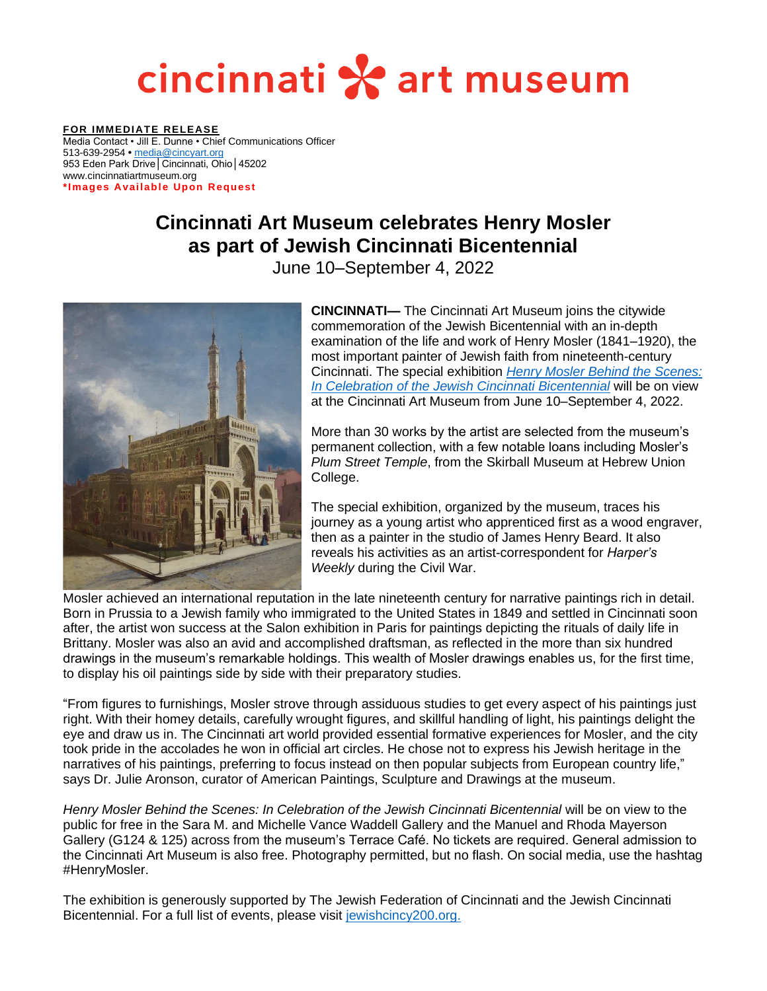## cincinnati \* art museum

**FOR IMMEDIATE RELEASE** Media Contact • Jill E. Dunne • Chief Communications Officer 513-639-2954 **•** [media@cincyart.org](mailto:media@cincyart.org) 953 Eden Park Drive│Cincinnati, Ohio│45202 www.cincinnatiartmuseum.org \*Images Available Upon Request

### **Cincinnati Art Museum celebrates Henry Mosler as part of Jewish Cincinnati Bicentennial**

June 10–September 4, 2022



**CINCINNATI—** The Cincinnati Art Museum joins the citywide commemoration of the Jewish Bicentennial with an in-depth examination of the life and work of Henry Mosler (1841–1920), the most important painter of Jewish faith from nineteenth-century Cincinnati. The special exhibition *[Henry Mosler Behind the Scenes:](https://www.cincinnatiartmuseum.org/mosler)  [In Celebration of the Jewish Cincinnati Bicentennial](https://www.cincinnatiartmuseum.org/mosler)* will be on view at the Cincinnati Art Museum from June 10–September 4, 2022.

More than 30 works by the artist are selected from the museum's permanent collection, with a few notable loans including Mosler's *Plum Street Temple*, from the Skirball Museum at Hebrew Union College.

The special exhibition, organized by the museum, traces his journey as a young artist who apprenticed first as a wood engraver, then as a painter in the studio of James Henry Beard. It also reveals his activities as an artist-correspondent for *Harper's Weekly* during the Civil War.

Mosler achieved an international reputation in the late nineteenth century for narrative paintings rich in detail. Born in Prussia to a Jewish family who immigrated to the United States in 1849 and settled in Cincinnati soon after, the artist won success at the Salon exhibition in Paris for paintings depicting the rituals of daily life in Brittany. Mosler was also an avid and accomplished draftsman, as reflected in the more than six hundred drawings in the museum's remarkable holdings. This wealth of Mosler drawings enables us, for the first time, to display his oil paintings side by side with their preparatory studies.

"From figures to furnishings, Mosler strove through assiduous studies to get every aspect of his paintings just right. With their homey details, carefully wrought figures, and skillful handling of light, his paintings delight the eye and draw us in. The Cincinnati art world provided essential formative experiences for Mosler, and the city took pride in the accolades he won in official art circles. He chose not to express his Jewish heritage in the narratives of his paintings, preferring to focus instead on then popular subjects from European country life," says Dr. Julie Aronson, curator of American Paintings, Sculpture and Drawings at the museum.

*Henry Mosler Behind the Scenes: In Celebration of the Jewish Cincinnati Bicentennial will be on view to the* public for free in the Sara M. and Michelle Vance Waddell Gallery and the Manuel and Rhoda Mayerson Gallery (G124 & 125) across from the museum's Terrace Café. No tickets are required. General admission to the Cincinnati Art Museum is also free. Photography permitted, but no flash. On social media, use the hashtag #HenryMosler.

The exhibition is generously supported by The Jewish Federation of Cincinnati and the Jewish Cincinnati Bicentennial. For a full list of events, please visit [jewishcincy200.org.](https://www.jewishcincy200.org/)